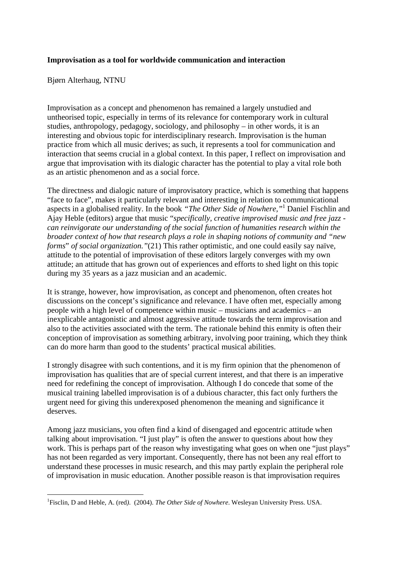## **Improvisation as a tool for worldwide communication and interaction**

Bjørn Alterhaug, NTNU

1

Improvisation as a concept and phenomenon has remained a largely unstudied and untheorised topic, especially in terms of its relevance for contemporary work in cultural studies, anthropology, pedagogy, sociology, and philosophy – in other words, it is an interesting and obvious topic for interdisciplinary research. Improvisation is the human practice from which all music derives; as such, it represents a tool for communication and interaction that seems crucial in a global context. In this paper, I reflect on improvisation and argue that improvisation with its dialogic character has the potential to play a vital role both as an artistic phenomenon and as a social force.

The directness and dialogic nature of improvisatory practice, which is something that happens "face to face", makes it particularly relevant and interesting in relation to communicational aspects in a globalised reality. In the book *"The Other Side of Nowhere,"*<sup>1</sup> Daniel Fischlin and Ajay Heble (editors) argue that music "*specifically, creative improvised music and free jazz can reinvigorate our understanding of the social function of humanities research within the broader context of how that research plays a role in shaping notions of community and "new forms*" *of social organization."*(21) This rather optimistic, and one could easily say naïve, attitude to the potential of improvisation of these editors largely converges with my own attitude; an attitude that has grown out of experiences and efforts to shed light on this topic during my 35 years as a jazz musician and an academic.

It is strange, however, how improvisation, as concept and phenomenon, often creates hot discussions on the concept's significance and relevance. I have often met, especially among people with a high level of competence within music – musicians and academics – an inexplicable antagonistic and almost aggressive attitude towards the term improvisation and also to the activities associated with the term. The rationale behind this enmity is often their conception of improvisation as something arbitrary, involving poor training, which they think can do more harm than good to the students' practical musical abilities.

I strongly disagree with such contentions, and it is my firm opinion that the phenomenon of improvisation has qualities that are of special current interest, and that there is an imperative need for redefining the concept of improvisation. Although I do concede that some of the musical training labelled improvisation is of a dubious character, this fact only furthers the urgent need for giving this underexposed phenomenon the meaning and significance it deserves.

Among jazz musicians, you often find a kind of disengaged and egocentric attitude when talking about improvisation. "I just play" is often the answer to questions about how they work. This is perhaps part of the reason why investigating what goes on when one "just plays" has not been regarded as very important. Consequently, there has not been any real effort to understand these processes in music research, and this may partly explain the peripheral role of improvisation in music education. Another possible reason is that improvisation requires

<sup>1</sup> Fisclin, D and Heble, A. (red*)*. (2004). *The Other Side of Nowhere*. Wesleyan University Press. USA.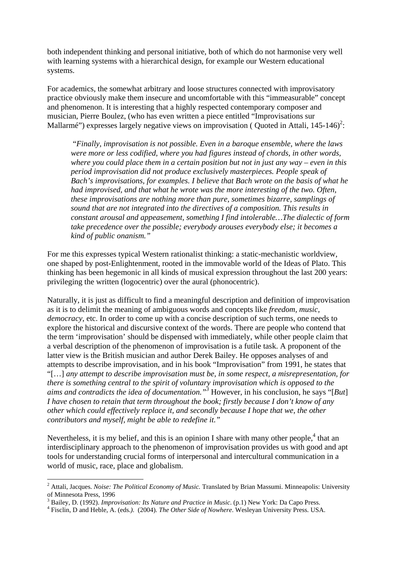both independent thinking and personal initiative, both of which do not harmonise very well with learning systems with a hierarchical design, for example our Western educational systems.

For academics, the somewhat arbitrary and loose structures connected with improvisatory practice obviously make them insecure and uncomfortable with this "immeasurable" concept and phenomenon. It is interesting that a highly respected contemporary composer and musician, Pierre Boulez, (who has even written a piece entitled "Improvisations sur Mallarmé") expresses largely negative views on improvisation (Quoted in Attali,  $145-146$ <sup>2</sup>:

 "*Finally, improvisation is not possible. Even in a baroque ensemble, where the laws were more or less codified, where you had figures instead of chords, in other words, where you could place them in a certain position but not in just any way – even in this period improvisation did not produce exclusively masterpieces. People speak of Bach's improvisations, for examples. I believe that Bach wrote on the basis of what he had improvised, and that what he wrote was the more interesting of the two. Often, these improvisations are nothing more than pure, sometimes bizarre, samplings of sound that are not integrated into the directives of a composition. This results in constant arousal and appeasement, something I find intolerable…The dialectic of form take precedence over the possible; everybody arouses everybody else; it becomes a kind of public onanism."* 

For me this expresses typical Western rationalist thinking: a static-mechanistic worldview, one shaped by post-Enlightenment, rooted in the immovable world of the Ideas of Plato. This thinking has been hegemonic in all kinds of musical expression throughout the last 200 years: privileging the written (logocentric) over the aural (phonocentric).

Naturally, it is just as difficult to find a meaningful description and definition of improvisation as it is to delimit the meaning of ambiguous words and concepts like *freedom, music, democracy*, etc. In order to come up with a concise description of such terms, one needs to explore the historical and discursive context of the words. There are people who contend that the term 'improvisation' should be dispensed with immediately, while other people claim that a verbal description of the phenomenon of improvisation is a futile task. A proponent of the latter view is the British musician and author Derek Bailey. He opposes analyses of and attempts to describe improvisation, and in his book "Improvisation" from 1991, he states that "[…] *any attempt to describe improvisation must be, in some respect, a misrepresentation, for there is something central to the spirit of voluntary improvisation which is opposed to the aims and contradicts the idea of documentation."3* However, in his conclusion, he says "[*But*] *I have chosen to retain that term throughout the book; firstly because I don't know of any other which could effectively replace it, and secondly because I hope that we, the other contributors and myself, might be able to redefine it."* 

Nevertheless, it is my belief, and this is an opinion I share with many other people,  $4$  that an interdisciplinary approach to the phenomenon of improvisation provides us with good and apt tools for understanding crucial forms of interpersonal and intercultural communication in a world of music, race, place and globalism.

<sup>2</sup> Attali, Jacques. *Noise: The Political Economy of Music.* Translated by Brian Massumi. Minneapolis: University of Minnesota Press, 1996

<sup>&</sup>lt;sup>3</sup> Bailey, D. (1992). *Improvisation: Its Nature and Practice in Music*. (p.1) New York: Da Capo Press.  $\frac{4}{7}$  Eigelin, D. and Hable, A. (ads.). (2004). The Other Side of Naubane Weeksup University Press. USA

Fisclin, D and Heble, A. (eds.*)*. (2004). *The Other Side of Nowhere*. Wesleyan University Press. USA.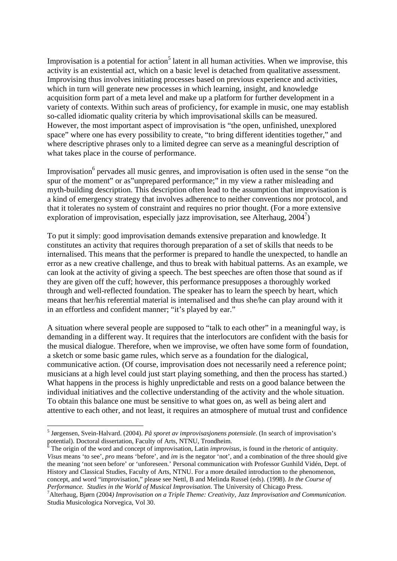Improvisation is a potential for action<sup>5</sup> latent in all human activities. When we improvise, this activity is an existential act, which on a basic level is detached from qualitative assessment. Improvising thus involves initiating processes based on previous experience and activities, which in turn will generate new processes in which learning, insight, and knowledge acquisition form part of a meta level and make up a platform for further development in a variety of contexts. Within such areas of proficiency, for example in music, one may establish so-called idiomatic quality criteria by which improvisational skills can be measured. However, the most important aspect of improvisation is "the open, unfinished, unexplored space" where one has every possibility to create, "to bring different identities together," and where descriptive phrases only to a limited degree can serve as a meaningful description of what takes place in the course of performance.

Improvisation<sup>6</sup> pervades all music genres, and improvisation is often used in the sense "on the spur of the moment" or as"unprepared performance;" in my view a rather misleading and myth-building description. This description often lead to the assumption that improvisation is a kind of emergency strategy that involves adherence to neither conventions nor protocol, and that it tolerates no system of constraint and requires no prior thought. (For a more extensive exploration of improvisation, especially jazz improvisation, see Alterhaug,  $2004^7$ )

To put it simply: good improvisation demands extensive preparation and knowledge. It constitutes an activity that requires thorough preparation of a set of skills that needs to be internalised. This means that the performer is prepared to handle the unexpected, to handle an error as a new creative challenge, and thus to break with habitual patterns. As an example, we can look at the activity of giving a speech. The best speeches are often those that sound as if they are given off the cuff; however, this performance presupposes a thoroughly worked through and well-reflected foundation. The speaker has to learn the speech by heart, which means that her/his referential material is internalised and thus she/he can play around with it in an effortless and confident manner; "it's played by ear."

A situation where several people are supposed to "talk to each other" in a meaningful way, is demanding in a different way. It requires that the interlocutors are confident with the basis for the musical dialogue. Therefore, when we improvise, we often have some form of foundation, a sketch or some basic game rules, which serve as a foundation for the dialogical, communicative action. (Of course, improvisation does not necessarily need a reference point; musicians at a high level could just start playing something, and then the process has started.) What happens in the process is highly unpredictable and rests on a good balance between the individual initiatives and the collective understanding of the activity and the whole situation. To obtain this balance one must be sensitive to what goes on, as well as being alert and attentive to each other, and not least, it requires an atmosphere of mutual trust and confidence

<sup>5</sup> Jørgensen, Svein-Halvard. (2004). *På sporet av improvisasjonens potensiale*. (In search of improvisation's potential). Doctoral dissertation, Faculty of Arts, NTNU, Trondheim.

<sup>&</sup>lt;sup>6</sup> The origin of the word and concept of improvisation, Latin *improvisus*, is found in the rhetoric of antiquity. *Visus* means 'to see', *pro* means 'before', and *im* is the negator 'not', and a combination of the three should give the meaning 'not seen before' or 'unforeseen.' Personal communication with Professor Gunhild Vidén, Dept. of History and Classical Studies, Faculty of Arts, NTNU. For a more detailed introduction to the phenomenon, concept, and word "improvisation," please see Nettl, B and Melinda Russel (eds). (1998). *In the Course of Performance. Studies in the World of Musical Improvisation.* The University of Chicago Press.

Alterhaug, Bjørn (2004*) Improvisation on a Triple Theme: Creativity, Jazz Improvisation and Communication*. Studia Musicologica Norvegica, Vol 30.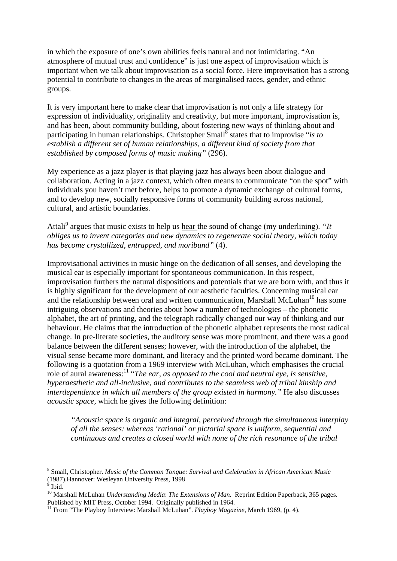in which the exposure of one's own abilities feels natural and not intimidating. "An atmosphere of mutual trust and confidence" is just one aspect of improvisation which is important when we talk about improvisation as a social force. Here improvisation has a strong potential to contribute to changes in the areas of marginalised races, gender, and ethnic groups.

It is very important here to make clear that improvisation is not only a life strategy for expression of individuality, originality and creativity, but more important, improvisation is, and has been, about community building, about fostering new ways of thinking about and participating in human relationships. Christopher Small<sup>8</sup> states that to improvise "*is to establish a different set of human relationships, a different kind of society from that established by composed forms of music making"* (296).

My experience as a jazz player is that playing jazz has always been about dialogue and collaboration. Acting in a jazz context, which often means to communicate "on the spot" with individuals you haven't met before, helps to promote a dynamic exchange of cultural forms, and to develop new, socially responsive forms of community building across national, cultural, and artistic boundaries.

Attali<sup>9</sup> argues that music exists to help us <u>hear t</u>he sound of change (my underlining). "*It obliges us to invent categories and new dynamics to regenerate social theory, which today has become crystallized, entrapped, and moribund"* (4).

Improvisational activities in music hinge on the dedication of all senses, and developing the musical ear is especially important for spontaneous communication. In this respect, improvisation furthers the natural dispositions and potentials that we are born with, and thus it is highly significant for the development of our aesthetic faculties. Concerning musical ear and the relationship between oral and written communication, Marshall McLuhan<sup>10</sup> has some intriguing observations and theories about how a number of technologies – the phonetic alphabet, the art of printing, and the telegraph radically changed our way of thinking and our behaviour. He claims that the introduction of the phonetic alphabet represents the most radical change. In pre-literate societies, the auditory sense was more prominent, and there was a good balance between the different senses; however, with the introduction of the alphabet, the visual sense became more dominant, and literacy and the printed word became dominant. The following is a quotation from a 1969 interview with McLuhan, which emphasises the crucial role of aural awareness:<sup>11</sup> "*The ear, as opposed to the cool and neutral eye, is sensitive, hyperaesthetic and all-inclusive, and contributes to the seamless web of tribal kinship and interdependence in which all members of the group existed in harmony.*" He also discusses *acoustic space,* which he gives the following definition:

*"Acoustic space is organic and integral, perceived through the simultaneous interplay of all the senses: whereas 'rational' or pictorial space is uniform, sequential and continuous and creates a closed world with none of the rich resonance of the tribal* 

<sup>8</sup> Small, Christopher. *Music of the Common Tongue: Survival and Celebration in African American Music* (1987).Hannover: Wesleyan University Press, 1998

<sup>9</sup> Ibid.

<sup>&</sup>lt;sup>10</sup> Marshall McLuhan *Understanding Media: The Extensions of Man*. Reprint Edition Paperback, 365 pages. Published by MIT Press, October 1994. Originally published in 1964.

<sup>&</sup>lt;sup>11</sup> From "The Playboy Interview: Marshall McLuhan". *Playboy Magazine*, March 1969, (p. 4).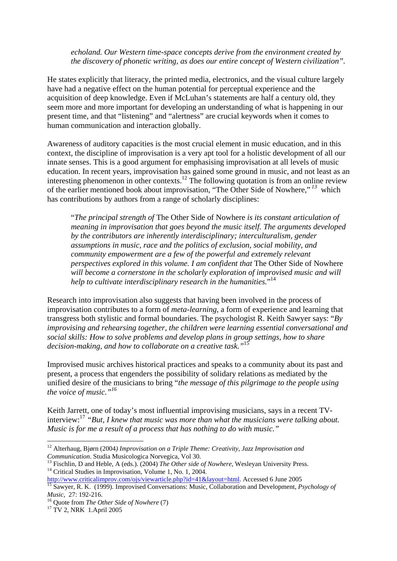*echoland. Our Western time-space concepts derive from the environment created by the discovery of phonetic writing, as does our entire concept of Western civilization".*

He states explicitly that literacy, the printed media, electronics, and the visual culture largely have had a negative effect on the human potential for perceptual experience and the acquisition of deep knowledge. Even if McLuhan's statements are half a century old, they seem more and more important for developing an understanding of what is happening in our present time, and that "listening" and "alertness" are crucial keywords when it comes to human communication and interaction globally.

Awareness of auditory capacities is the most crucial element in music education, and in this context, the discipline of improvisation is a very apt tool for a holistic development of all our innate senses. This is a good argument for emphasising improvisation at all levels of music education. In recent years, improvisation has gained some ground in music, and not least as an interesting phenomenon in other contexts.<sup>12</sup> The following quotation is from an online review of the earlier mentioned book about improvisation, "The Other Side of Nowhere,"*<sup>13</sup>* which has contributions by authors from a range of scholarly disciplines:

"*The principal strength of* The Other Side of Nowhere *is its constant articulation of meaning in improvisation that goes beyond the music itself. The arguments developed by the contributors are inherently interdisciplinary; interculturalism, gender assumptions in music, race and the politics of exclusion, social mobility, and community empowerment are a few of the powerful and extremely relevant perspectives explored in this volume. I am confident that* The Other Side of Nowhere *will become a cornerstone in the scholarly exploration of improvised music and will help to cultivate interdisciplinary research in the humanities.*" 14

Research into improvisation also suggests that having been involved in the process of improvisation contributes to a form of *meta-learning*, a form of experience and learning that transgress both stylistic and formal boundaries. The psychologist R. Keith Sawyer says: "*By improvising and rehearsing together, the children were learning essential conversational and social skills: How to solve problems and develop plans in group settings, how to share decision-making, and how to collaborate on a creative task."*<sup>15</sup>

Improvised music archives historical practices and speaks to a community about its past and present, a process that engenders the possibility of solidary relations as mediated by the unified desire of the musicians to bring "*the message of this pilgrimage to the people using the voice of music."16*

Keith Jarrett, one of today's most influential improvising musicians, says in a recent TVinterview:17 *"But, I knew that music was more than what the musicians were talking about. Music is for me a result of a process that has nothing to do with music."* 

<sup>&</sup>lt;sup>12</sup> Alterhaug, Bjørn (2004) *Improvisation on a Triple Theme: Creativity, Jazz Improvisation and Communication. Studia Musicologica Norvegica. Vol 30.* 

<sup>&</sup>lt;sup>13</sup> Fischlin, D and Heble, A (eds.). (2004) *The Other side of Nowhere*, Wesleyan University Press.<br><sup>14</sup> Critical Studies in Improvisation, Volume 1, No. 1, 2004.<br>http://www.criticalimprov.com/ojs/viewarticle.php?id=41&l <sup>15</sup> Sawyer, R. K. (1999). Improvised Conversations: Music, Collaboration and Development, *Psychology of* 

*Music*, 27: 192-216.<br><sup>16</sup> Quote from *The Other Side of Nowhere* (7)<br><sup>17</sup> TV 2, NRK 1.April 2005